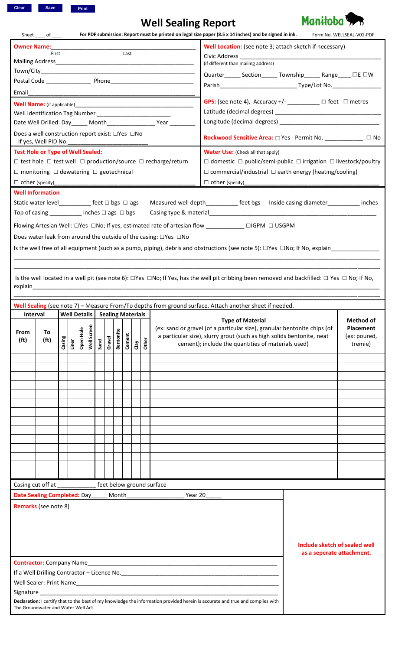# **Well Sealing Report**



|                                                                                                                                              | Sheet ______ of ______                                                   |        |       |                                  |      |        |                  |        |      |       |                                                                 | For PDF submission: Report must be printed on legal size paper (8.5 x 14 inches) and be signed in ink.                                                            |                                                                       | Form No. WELLSEAL-V01-PDF |  |
|----------------------------------------------------------------------------------------------------------------------------------------------|--------------------------------------------------------------------------|--------|-------|----------------------------------|------|--------|------------------|--------|------|-------|-----------------------------------------------------------------|-------------------------------------------------------------------------------------------------------------------------------------------------------------------|-----------------------------------------------------------------------|---------------------------|--|
| <b>Owner Name:</b>                                                                                                                           |                                                                          |        |       |                                  |      |        |                  |        |      |       |                                                                 | Well Location: (see note 3; attach sketch if necessary)                                                                                                           |                                                                       |                           |  |
|                                                                                                                                              | First                                                                    |        |       |                                  |      |        |                  | Last   |      |       |                                                                 |                                                                                                                                                                   |                                                                       |                           |  |
|                                                                                                                                              |                                                                          |        |       |                                  |      |        |                  |        |      |       |                                                                 | (if different than mailing address)                                                                                                                               |                                                                       |                           |  |
|                                                                                                                                              |                                                                          |        |       |                                  |      |        |                  |        |      |       |                                                                 | Quarter______ Section______ Township______ Range_____ □E □W                                                                                                       |                                                                       |                           |  |
|                                                                                                                                              |                                                                          |        |       |                                  |      |        |                  |        |      |       |                                                                 |                                                                                                                                                                   |                                                                       |                           |  |
| Email                                                                                                                                        |                                                                          |        |       |                                  |      |        |                  |        |      |       |                                                                 |                                                                                                                                                                   |                                                                       |                           |  |
|                                                                                                                                              |                                                                          |        |       |                                  |      |        |                  |        |      |       |                                                                 | <b>GPS:</b> (see note 4), Accuracy +/- $\frac{1}{\sqrt{2}}$ $\Box$ feet $\Box$ metres                                                                             |                                                                       |                           |  |
| Well Identification Tag Number __________________________                                                                                    |                                                                          |        |       |                                  |      |        |                  |        |      |       |                                                                 |                                                                                                                                                                   |                                                                       |                           |  |
| Date Well Drilled: Day_____ Month___________________ Year _________                                                                          |                                                                          |        |       |                                  |      |        |                  |        |      |       |                                                                 |                                                                                                                                                                   |                                                                       |                           |  |
| Does a well construction report exist: □Yes □No<br>If yes, Well PID No.                                                                      |                                                                          |        |       |                                  |      |        |                  |        |      |       |                                                                 |                                                                                                                                                                   | <b>Rockwood Sensitive Area:</b> □ Yes - Permit No. _____________ □ No |                           |  |
| <b>Test Hole or Type of Well Sealed:</b>                                                                                                     |                                                                          |        |       |                                  |      |        |                  |        |      |       |                                                                 | <b>Water Use:</b> (Check all that apply)                                                                                                                          |                                                                       |                           |  |
|                                                                                                                                              |                                                                          |        |       |                                  |      |        |                  |        |      |       |                                                                 | $\Box$ domestic $\Box$ public/semi-public $\Box$ irrigation $\Box$ livestock/poultry                                                                              |                                                                       |                           |  |
| $\Box$ test hole $\Box$ test well $\Box$ production/source $\Box$ recharge/return<br>$\Box$ monitoring $\Box$ dewatering $\Box$ geotechnical |                                                                          |        |       |                                  |      |        |                  |        |      |       |                                                                 | $\Box$ commercial/industrial $\Box$ earth energy (heating/cooling)                                                                                                |                                                                       |                           |  |
|                                                                                                                                              |                                                                          |        |       |                                  |      |        |                  |        |      |       |                                                                 |                                                                                                                                                                   |                                                                       |                           |  |
| <b>Well Information</b>                                                                                                                      |                                                                          |        |       |                                  |      |        |                  |        |      |       |                                                                 |                                                                                                                                                                   |                                                                       |                           |  |
| Static water level____________ feet □ bgs □ ags                                                                                              |                                                                          |        |       |                                  |      |        |                  |        |      |       |                                                                 | Measured well depth____________ feet bgs lnside casing diameter__________ inches                                                                                  |                                                                       |                           |  |
| Top of casing $\qquad \qquad$ inches $\Box$ ags $\Box$ bgs                                                                                   |                                                                          |        |       |                                  |      |        |                  |        |      |       |                                                                 |                                                                                                                                                                   |                                                                       |                           |  |
|                                                                                                                                              |                                                                          |        |       |                                  |      |        |                  |        |      |       |                                                                 |                                                                                                                                                                   |                                                                       |                           |  |
|                                                                                                                                              |                                                                          |        |       |                                  |      |        |                  |        |      |       |                                                                 | Flowing Artesian Well: □Yes □No; If yes, estimated rate of artesian flow __________ □IGPM □ USGPM                                                                 |                                                                       |                           |  |
|                                                                                                                                              |                                                                          |        |       |                                  |      |        |                  |        |      |       | Does water leak from around the outside of the casing: □Yes □No |                                                                                                                                                                   |                                                                       |                           |  |
|                                                                                                                                              |                                                                          |        |       |                                  |      |        |                  |        |      |       |                                                                 | Is the well free of all equipment (such as a pump, piping), debris and obstructions (see note 5): $\Box$ Yes $\Box$ No; If No, explain                            |                                                                       |                           |  |
|                                                                                                                                              |                                                                          |        |       |                                  |      |        |                  |        |      |       |                                                                 |                                                                                                                                                                   |                                                                       |                           |  |
|                                                                                                                                              |                                                                          |        |       |                                  |      |        |                  |        |      |       |                                                                 |                                                                                                                                                                   |                                                                       |                           |  |
|                                                                                                                                              |                                                                          |        |       |                                  |      |        |                  |        |      |       |                                                                 | Is the well located in a well pit (see note 6): $\Box$ Yes $\Box$ No; If Yes, has the well pit cribbing been removed and backfilled: $\Box$ Yes $\Box$ No; If No, |                                                                       |                           |  |
|                                                                                                                                              |                                                                          |        |       |                                  |      |        |                  |        |      |       |                                                                 |                                                                                                                                                                   |                                                                       |                           |  |
|                                                                                                                                              |                                                                          |        |       |                                  |      |        |                  |        |      |       |                                                                 |                                                                                                                                                                   |                                                                       |                           |  |
|                                                                                                                                              |                                                                          |        |       |                                  |      |        |                  |        |      |       |                                                                 | Well Sealing (see note 7) - Measure From/To depths from ground surface. Attach another sheet if needed.                                                           |                                                                       |                           |  |
| Interval                                                                                                                                     |                                                                          |        |       | Well Details   Sealing Materials |      |        |                  |        |      |       |                                                                 | <b>Type of Material</b>                                                                                                                                           |                                                                       | Method of                 |  |
|                                                                                                                                              | (ex: sand or gravel (of a particular size), granular bentonite chips (of |        |       |                                  |      |        |                  |        |      |       |                                                                 |                                                                                                                                                                   |                                                                       |                           |  |
|                                                                                                                                              |                                                                          |        |       |                                  |      |        |                  |        |      |       |                                                                 |                                                                                                                                                                   |                                                                       | <b>Placement</b>          |  |
| From<br>(f <sub>t</sub> )                                                                                                                    | To                                                                       |        |       |                                  |      |        |                  |        |      |       |                                                                 | a particular size), slurry grout (such as high solids bentonite, neat                                                                                             |                                                                       | (ex: poured,              |  |
|                                                                                                                                              | (f <sup>t</sup> )                                                        | Casing | Liner | Well Screen<br>Open Hole         | Sand | Gravel | <b>Bentonite</b> | Cement | Clay | Other |                                                                 | cement); include the quantities of materials used)                                                                                                                |                                                                       | tremie)                   |  |
|                                                                                                                                              |                                                                          |        |       |                                  |      |        |                  |        |      |       |                                                                 |                                                                                                                                                                   |                                                                       |                           |  |
|                                                                                                                                              |                                                                          |        |       |                                  |      |        |                  |        |      |       |                                                                 |                                                                                                                                                                   |                                                                       |                           |  |
|                                                                                                                                              |                                                                          |        |       |                                  |      |        |                  |        |      |       |                                                                 |                                                                                                                                                                   |                                                                       |                           |  |
|                                                                                                                                              |                                                                          |        |       |                                  |      |        |                  |        |      |       |                                                                 |                                                                                                                                                                   |                                                                       |                           |  |
|                                                                                                                                              |                                                                          |        |       |                                  |      |        |                  |        |      |       |                                                                 |                                                                                                                                                                   |                                                                       |                           |  |
|                                                                                                                                              |                                                                          |        |       |                                  |      |        |                  |        |      |       |                                                                 |                                                                                                                                                                   |                                                                       |                           |  |
|                                                                                                                                              |                                                                          |        |       |                                  |      |        |                  |        |      |       |                                                                 |                                                                                                                                                                   |                                                                       |                           |  |
|                                                                                                                                              |                                                                          |        |       |                                  |      |        |                  |        |      |       |                                                                 |                                                                                                                                                                   |                                                                       |                           |  |
|                                                                                                                                              |                                                                          |        |       |                                  |      |        |                  |        |      |       |                                                                 |                                                                                                                                                                   |                                                                       |                           |  |
|                                                                                                                                              |                                                                          |        |       |                                  |      |        |                  |        |      |       |                                                                 |                                                                                                                                                                   |                                                                       |                           |  |
|                                                                                                                                              |                                                                          |        |       |                                  |      |        |                  |        |      |       |                                                                 |                                                                                                                                                                   |                                                                       |                           |  |
|                                                                                                                                              |                                                                          |        |       |                                  |      |        |                  |        |      |       |                                                                 |                                                                                                                                                                   |                                                                       |                           |  |
|                                                                                                                                              |                                                                          |        |       |                                  |      |        |                  |        |      |       |                                                                 |                                                                                                                                                                   |                                                                       |                           |  |
| Casing cut off at                                                                                                                            |                                                                          |        |       |                                  |      |        |                  |        |      |       | feet below ground surface                                       |                                                                                                                                                                   |                                                                       |                           |  |
| Date Sealing Completed: Day_                                                                                                                 |                                                                          |        |       |                                  |      |        | Month            |        |      |       | Year 20                                                         |                                                                                                                                                                   |                                                                       |                           |  |
| <b>Remarks</b> (see note 8)                                                                                                                  |                                                                          |        |       |                                  |      |        |                  |        |      |       |                                                                 |                                                                                                                                                                   |                                                                       |                           |  |
|                                                                                                                                              |                                                                          |        |       |                                  |      |        |                  |        |      |       |                                                                 |                                                                                                                                                                   |                                                                       |                           |  |
|                                                                                                                                              |                                                                          |        |       |                                  |      |        |                  |        |      |       |                                                                 |                                                                                                                                                                   |                                                                       |                           |  |
|                                                                                                                                              |                                                                          |        |       |                                  |      |        |                  |        |      |       |                                                                 |                                                                                                                                                                   |                                                                       |                           |  |
|                                                                                                                                              |                                                                          |        |       |                                  |      |        |                  |        |      |       |                                                                 |                                                                                                                                                                   | Include sketch of sealed well                                         |                           |  |
|                                                                                                                                              |                                                                          |        |       |                                  |      |        |                  |        |      |       |                                                                 |                                                                                                                                                                   | as a seperate attachment.                                             |                           |  |
| <b>Contractor:</b> Company Name                                                                                                              |                                                                          |        |       |                                  |      |        |                  |        |      |       |                                                                 |                                                                                                                                                                   |                                                                       |                           |  |
|                                                                                                                                              |                                                                          |        |       |                                  |      |        |                  |        |      |       |                                                                 |                                                                                                                                                                   |                                                                       |                           |  |
|                                                                                                                                              |                                                                          |        |       |                                  |      |        |                  |        |      |       |                                                                 |                                                                                                                                                                   |                                                                       |                           |  |
|                                                                                                                                              |                                                                          |        |       |                                  |      |        |                  |        |      |       |                                                                 |                                                                                                                                                                   |                                                                       |                           |  |
| The Groundwater and Water Well Act.                                                                                                          |                                                                          |        |       |                                  |      |        |                  |        |      |       |                                                                 | Declaration: I certify that to the best of my knowledge the information provided herein is accurate and true and complies with                                    |                                                                       |                           |  |